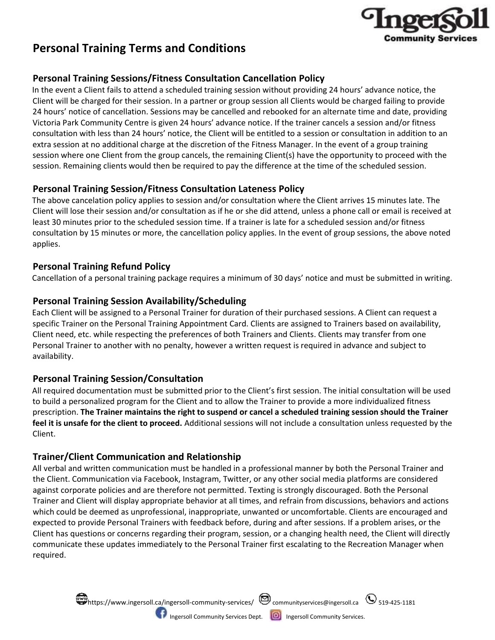

# **Personal Training Terms and Conditions**

### **Personal Training Sessions/Fitness Consultation Cancellation Policy**

In the event a Client fails to attend a scheduled training session without providing 24 hours' advance notice, the Client will be charged for their session. In a partner or group session all Clients would be charged failing to provide 24 hours' notice of cancellation. Sessions may be cancelled and rebooked for an alternate time and date, providing Victoria Park Community Centre is given 24 hours' advance notice. If the trainer cancels a session and/or fitness consultation with less than 24 hours' notice, the Client will be entitled to a session or consultation in addition to an extra session at no additional charge at the discretion of the Fitness Manager. In the event of a group training session where one Client from the group cancels, the remaining Client(s) have the opportunity to proceed with the session. Remaining clients would then be required to pay the difference at the time of the scheduled session.

## **Personal Training Session/Fitness Consultation Lateness Policy**

The above cancelation policy applies to session and/or consultation where the Client arrives 15 minutes late. The Client will lose their session and/or consultation as if he or she did attend, unless a phone call or email is received at least 30 minutes prior to the scheduled session time. If a trainer is late for a scheduled session and/or fitness consultation by 15 minutes or more, the cancellation policy applies. In the event of group sessions, the above noted applies.

### **Personal Training Refund Policy**

Cancellation of a personal training package requires a minimum of 30 days' notice and must be submitted in writing.

## **Personal Training Session Availability/Scheduling**

Each Client will be assigned to a Personal Trainer for duration of their purchased sessions. A Client can request a specific Trainer on the Personal Training Appointment Card. Clients are assigned to Trainers based on availability, Client need, etc. while respecting the preferences of both Trainers and Clients. Clients may transfer from one Personal Trainer to another with no penalty, however a written request is required in advance and subject to availability.

# **Personal Training Session/Consultation**

All required documentation must be submitted prior to the Client's first session. The initial consultation will be used to build a personalized program for the Client and to allow the Trainer to provide a more individualized fitness prescription. **The Trainer maintains the right to suspend or cancel a scheduled training session should the Trainer feel it is unsafe for the client to proceed.** Additional sessions will not include a consultation unless requested by the Client.

### **Trainer/Client Communication and Relationship**

All verbal and written communication must be handled in a professional manner by both the Personal Trainer and the Client. Communication via Facebook, Instagram, Twitter, or any other social media platforms are considered against corporate policies and are therefore not permitted. Texting is strongly discouraged. Both the Personal Trainer and Client will display appropriate behavior at all times, and refrain from discussions, behaviors and actions which could be deemed as unprofessional, inappropriate, unwanted or uncomfortable. Clients are encouraged and expected to provide Personal Trainers with feedback before, during and after sessions. If a problem arises, or the Client has questions or concerns regarding their program, session, or a changing health need, the Client will directly communicate these updates immediately to the Personal Trainer first escalating to the Recreation Manager when required.